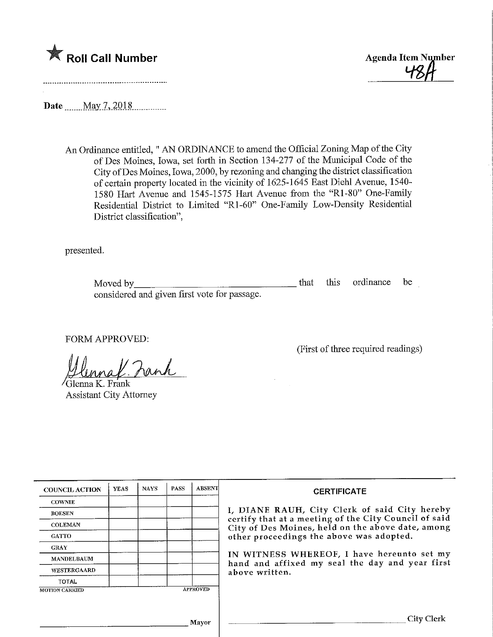



(First of three required readings)

Date <u>May 7, 2018</u>.

An Ordinance entitled," AN ORDINANCE to amend the Official Zoning Map of the City of Des Moines, Iowa, set forth in Section 134-277 of the Municipal Code of the City ofDes Moines, Iowa, 2000, by rezoning and changing the district classification of certain property located in the vicinity of 1625-1645 East Diehl Avenue, 1540- 1580 Hart Avenue and 1545-1575 Hart Avenue from the "Rl-80" One-Family Residential District to Limited "Rl-60" One-Family Low-Density Residential District classification",

presented.

Moved by\_ considered and given first vote for passage. that this ordinance be

FORM APPROVED:

al Fank

'Glenna K. Frank Assistant City Attorney

| <b>COUNCIL ACTION</b> | <b>YEAS</b> | <b>NAYS</b> | <b>PASS</b> | <b>ABSENT</b>   | <b>CERTIFICATE</b>                                                                                         |  |  |  |  |
|-----------------------|-------------|-------------|-------------|-----------------|------------------------------------------------------------------------------------------------------------|--|--|--|--|
| <b>COWNIE</b>         |             |             |             |                 |                                                                                                            |  |  |  |  |
| <b>BOESEN</b>         |             |             |             |                 | I, DIANE RAUH, City Clerk of said City hereby                                                              |  |  |  |  |
| <b>COLEMAN</b>        |             |             |             |                 | certify that at a meeting of the City Council of said<br>City of Des Moines, held on the above date, among |  |  |  |  |
| <b>GATTO</b>          |             |             |             |                 | other proceedings the above was adopted.                                                                   |  |  |  |  |
| <b>GRAY</b>           |             |             |             |                 |                                                                                                            |  |  |  |  |
| <b>MANDELBAUM</b>     |             |             |             |                 | IN WITNESS WHEREOF, I have hereunto set my<br>hand and affixed my seal the day and year first              |  |  |  |  |
| WESTERGAARD           |             |             |             |                 | above written.                                                                                             |  |  |  |  |
| <b>TOTAL</b>          |             |             |             |                 |                                                                                                            |  |  |  |  |
| <b>MOTION CARRIED</b> |             |             |             | <b>APPROVED</b> |                                                                                                            |  |  |  |  |
|                       |             |             |             |                 |                                                                                                            |  |  |  |  |
|                       |             |             |             | Mavor           | City Clerk                                                                                                 |  |  |  |  |

 $\overline{1}$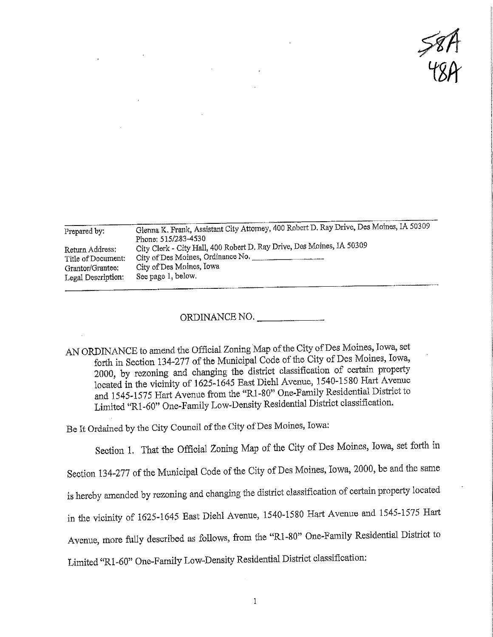$\frac{8}{78}$ 

| Prepared by:       | Glenna K, Frank, Assistant City Attorney, 400 Robert D. Ray Drive, Des Moines, IA 50309<br>Phone: 515/283-4530 |
|--------------------|----------------------------------------------------------------------------------------------------------------|
| Return Address:    | City Clerk - City Hall, 400 Robert D. Ray Drive, Des Moines, IA 50309                                          |
| Title of Document: | City of Des Moines, Ordinance No.                                                                              |
| Grantor/Grantee:   | City of Des Moines, Iowa                                                                                       |
| Legal Description: | See page 1, below.                                                                                             |

ORDINANCE NO.

AN ORDINANCE to amend the Official Zoning Map of the City of Des Moines, Iowa, set forth in Section 134-277 of the Municipal Code of the City of Des Moines, Iowa, 2000, by rezoning and changing the district classification of certain property located in the vicinity of 1625-1645 East Diehl Avenue, 1540-1580 Hart Avenue and 1545-1575 Hart Avenue from the "R1-80" One-Family Residential District to Limited "R1-60" One-Family Low-Density Residential District classification,

Be It Ordained by the City Council of the City of Des Moines, Iowa:

Section 1. That the Official Zoning Map of the City of Des Moines, Iowa, set forth in Section 134-277 of the Municipal Code of the City of Des Moines, Iowa, 2000, be and the same is hereby amended by rezoning and changing the district classification of certain property located in the vicinity of 1625-1645 East Diehl Avenue, 1540-1580 Hart Avenue and 1545-1575 Hart Avenue, more fully described as follows, from the "R1-80" One-Family Residential District to

Limited "Rl-60" One-Family Low-Density Residential District classification: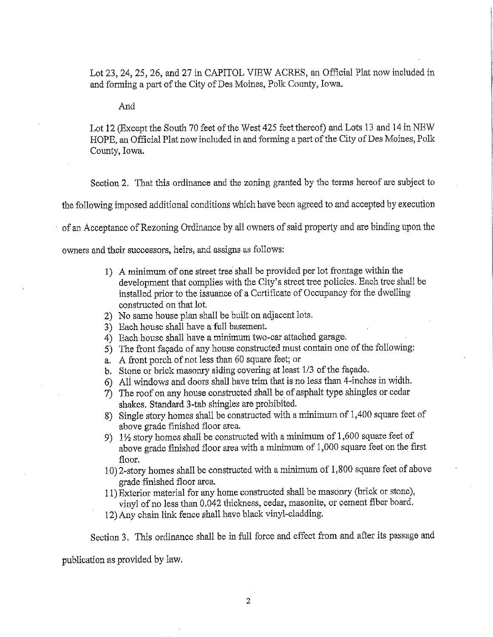Lot 23, 24, 25, 26, and 27 in CAPITOL VIEW ACRES, an Official Plat now included in and forming a part of the City of Des Moines, Polk County, Iowa.

And

Lot 12 (Except the South 70 feet of the West 425 feet thereof) and Lots 13 and 14 in NEW HOPE, an Official Plat now included in and forming a part of the City of Des Moines, Polk County, Iowa,

Section 2, That this ordinance and the zoning granted by the terms hereof are subject to

the following imposed additional conditions which have been agreed to and accepted by execution

of an Acceptance of Rezoniag Ordinance by all owners of said property and are binding upon the

owners and their successors, heirs, and assigns as follows:

- 1) A minimum of one street tree shall be provided per lot frontage witliin the development that complies with the City's street tree policies. Each tree shall be installed prior to the issuance of a Certificate of Occupancy-for the dwelling constructed on that lot.
- 2) No same house plan shall be built on adjacent lots.
- 3) Each house shall have a full basement.
- $4)$  Each house shall have a minimum two-car attached garage.
- 5) The front facade of any house constructed must contain one of the following:
- a. A front porch of not less than 60 square feet; or
- b. Stone or brick masonry siding covering at least 1/3 of the facade.
- 6) All windows and doors shall have trim that is no less than 4-inches in width.
- 7) The roof on any house constructed shall be of asphalt type shingles or cedar shakes. Standard 3-tab shingles are prohibited.
- 8) Single story homes shall be constructed with a minimum of 1,400 square feet of above grade finished floor area.
- 9)  $1\frac{1}{2}$  story homes shall be constructed with a minimum of 1,600 square feet of above grade finished floor area with a minimum of 1 ,000 square feet on the first floor.
- 10) 2-story homes shall be constructed with a. minimum of 1,800 square feet of above grade finished floor area.
- 11) Exterior material for any home constructed shall be masonry (brick or stone), vinyl of no less than 0.042 thickness, cedar, masonite, or cement fiber board.
- 12) Any chain link fence shall have black vinyl-cladding.

Section 3. This ordinance shall be in full force and effect from and after its passage and

publication as provided by law.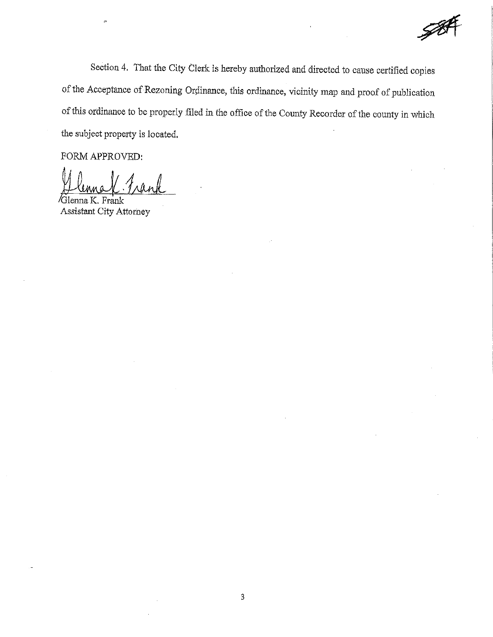Section 4. That the City Clerk is hereby authorized and directed to cause certified copies of the Acceptance of-Rezoning Ordinance, this ordmance, vicinity map and proof of publication of this ordinance to be properly filed in the office of the County Recorder of the county in which the subject property is located.

FORM APPROVED:

 $\alpha$ <sup>1</sup> Assistant City Attorney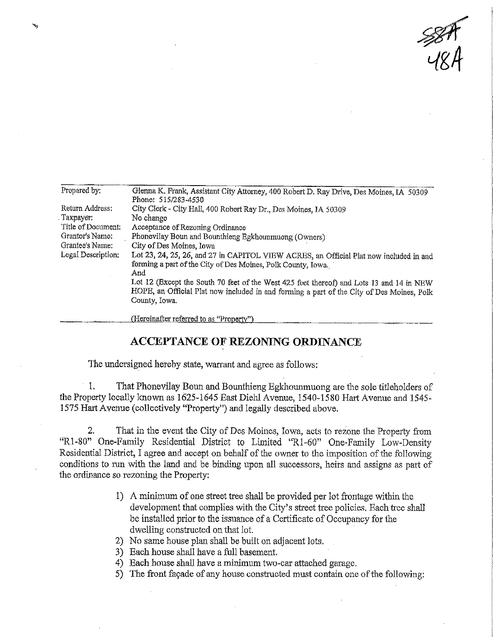$\frac{\mathcal{B}}{\mathcal{B}}$ 

| Propared by;       | Glenna K. Frank, Assistant City Attorney, 400 Robert D. Ray Drive, Des Moines, IA 50309   |  |  |  |  |
|--------------------|-------------------------------------------------------------------------------------------|--|--|--|--|
|                    | Phone: 515/283-4530                                                                       |  |  |  |  |
| Return Address:    | City Clerk - City Hall, 400 Robert Ray Dr., Des Moines, IA 50309                          |  |  |  |  |
| Taxpayer:          | No change                                                                                 |  |  |  |  |
| Title of Document: | Acceptance of Rezoning Ordinance                                                          |  |  |  |  |
| Grantor's Name:    | Phonevilay Boun and Bounthieng Egkhounmuong (Owners)                                      |  |  |  |  |
| Grantee's Name:    | City of Des Moines, Iowa                                                                  |  |  |  |  |
| Legal Description: | Lot 23, 24, 25, 26, and 27 in CAPITOL VIEW ACRES, an Official Plat now included in and    |  |  |  |  |
|                    | forming a part of the City of Des Moines, Polk County, Iowa.                              |  |  |  |  |
|                    | And                                                                                       |  |  |  |  |
|                    | Lot 12 (Except the South 70 feet of the West 425 feet thereof) and Lots 13 and 14 in NEW  |  |  |  |  |
|                    | HOPE, an Official Plat now included in and forming a part of the City of Des Moines, Polk |  |  |  |  |
|                    | County, Iowa.                                                                             |  |  |  |  |
|                    | (Hereinafter referred to as "Property")                                                   |  |  |  |  |

## ACCEPTANCE OF REZONING ORDINANCE

The undersigned hereby state, warrant and agree as follows;

1, That Phonevilay Boun and Bounthieng Egkhounmuong are the sole titleholders of the Property locally known as 1625-1645 East Diehl Avenue, 1540-1580 Hart Avenue and 1545- 1575 Hart Avenue (collectively "Property") and legally described above.

2. That in the event the City of Des Moines, Iowa, acts to rezone the Property from "Rl-80" One-Family Residential District to Limited "Rl-60" One-Family Low-Density Residential District, I agree and accept on behalf of the owner to the imposition of the following conditions to run with the land and be binding upon all successors, heirs and assigns as part of the ordinance so rezoning the Property:

- 1) A minimum of one street tree shall be provided per lot frontage within the development that complies with the City's street tree policies. Each tree shall be installed prior to the issuance of a Certificate of Occupancy for the dwelling constructed on that lot.
- 2) No same house plan shall be built on adjacent lots, .
- 3) Each house shall have a fall basement.
- 4) Each house shall have a minimum two-car attached garage.
- 5) The front facade of any house constructed must contain one of the following:

^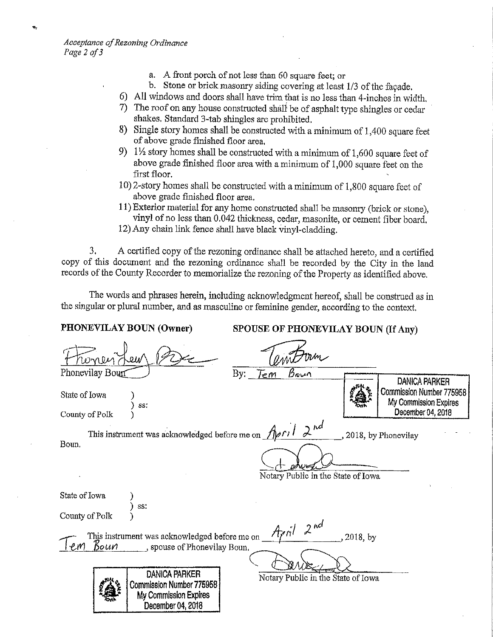- a. A front porch of not less than 60 square feet; or
- b. Stone or brick masonry siding covering at least 1/3 of the facade.
- 6) All windows and doors shall have trim that is no less than 4-inches in width.
- 7) The roof on any house constructed shall' be of asphalt type shingles or cedar shakes. Standard 3-tab shingles are prohibited,
- 8) Single story homes shall be constmcted with a minimum of 1,400 square feet of above grade finished floor area,
- 9)  $1\frac{1}{2}$  story homes shall be constructed with a minimum of 1,600 square feet of above grade finished floor area with a minimum of 1,000 square feet on the first floor.
- 10) 2-story homes shall be constructed with a minimum of 1,800 square feet of above grade finished floor area,
- 11) Exterior material for any home constructed shall be masonry (brick or stone), vinyl of no less than 0.042 thickness, cedar, masonite, or cement fiber board.
- 12) Any chain link fence shall have black vinyl-cladding.

3. A certified copy of the rezoning ordinance shall be attached hereto, and a certified copy of this document and the rezoning ordinance shall be recorded by the City in the land records of the County Recorder to memorialize the rezoning of the Property as identified above.

The words and phrases herein, including acknowledgment hereof, shall be construed as in the singular or plural number, and as masculine or feminine gender, according to the context.

PHONEVILAY BOUN (Owner) SPOUSE OF PHONEVILAY BOUN (If Any) <u>men är</u> Phonevilay Bourt By: Tem Boun DANICA PARKER ex.<br>A Commission Number 775958 State of Iowa My Commission Expires Υ 883 December 04.2018 County of Polk ) This instrument was acknowledged before me on  $\text{A}_{\text{P}}$ ril  $2^{\text{nd}}$ 2018, by Phonevilay Boun, Notary Public in the State of Iowa State of Iowa ) ss: County of Polk  $2^{nd}$ This instrument was acknowledged before me on  $\beta$ <br> $\beta$  ou $\gamma$  . spouse of Phonevilay Boun. 2018, by  $\ell$ <sub>i</sub> $\gamma$  <u>Boun</u>, spouse of Phonevilay Boun. DANICA PARKER Notary Public m the State of Iowa $\frac{3}{2}$ Commission Number 775958^ My Commission Expires December 04,2018